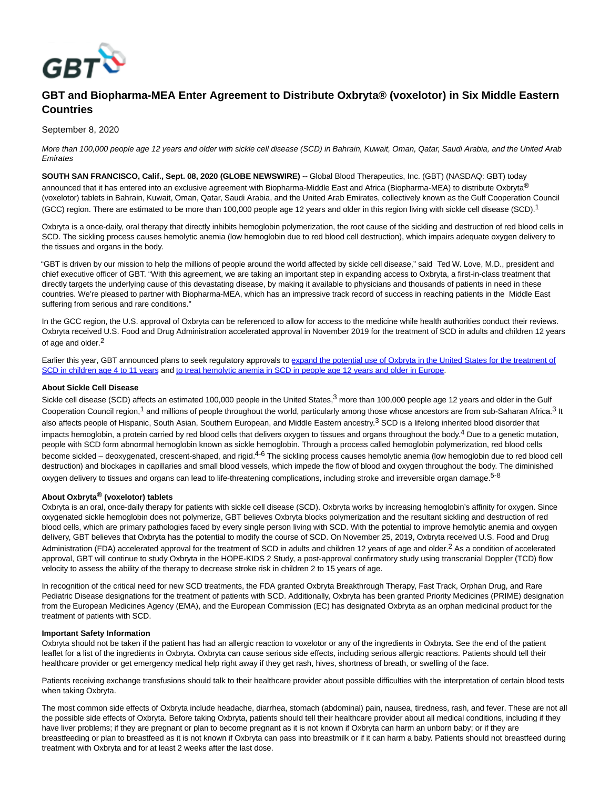

# **GBT and Biopharma-MEA Enter Agreement to Distribute Oxbryta® (voxelotor) in Six Middle Eastern Countries**

## September 8, 2020

More than 100,000 people age 12 years and older with sickle cell disease (SCD) in Bahrain, Kuwait, Oman, Qatar, Saudi Arabia, and the United Arab Emirates

**SOUTH SAN FRANCISCO, Calif., Sept. 08, 2020 (GLOBE NEWSWIRE) --** Global Blood Therapeutics, Inc. (GBT) (NASDAQ: GBT) today announced that it has entered into an exclusive agreement with Biopharma-Middle East and Africa (Biopharma-MEA) to distribute Oxbryta® (voxelotor) tablets in Bahrain, Kuwait, Oman, Qatar, Saudi Arabia, and the United Arab Emirates, collectively known as the Gulf Cooperation Council (GCC) region. There are estimated to be more than 100,000 people age 12 years and older in this region living with sickle cell disease (SCD).<sup>1</sup>

Oxbryta is a once-daily, oral therapy that directly inhibits hemoglobin polymerization, the root cause of the sickling and destruction of red blood cells in SCD. The sickling process causes hemolytic anemia (low hemoglobin due to red blood cell destruction), which impairs adequate oxygen delivery to the tissues and organs in the body.

"GBT is driven by our mission to help the millions of people around the world affected by sickle cell disease," said Ted W. Love, M.D., president and chief executive officer of GBT. "With this agreement, we are taking an important step in expanding access to Oxbryta, a first-in-class treatment that directly targets the underlying cause of this devastating disease, by making it available to physicians and thousands of patients in need in these countries. We're pleased to partner with Biopharma-MEA, which has an impressive track record of success in reaching patients in the Middle East suffering from serious and rare conditions."

In the GCC region, the U.S. approval of Oxbryta can be referenced to allow for access to the medicine while health authorities conduct their reviews. Oxbryta received U.S. Food and Drug Administration accelerated approval in November 2019 for the treatment of SCD in adults and children 12 years of age and older.<sup>2</sup>

Earlier this year, GBT announced plans to seek regulatory approvals to [expand the potential use of Oxbryta in the United States for the treatment of](https://www.globenewswire.com/Tracker?data=eo38UE9TS6AkqW6Md9X7htsfrkP9qTWkfGmzvxbIkU9V-ARd1sKysH-B2PI86xNCq0BXCcLC_OHRa-fJpWewLw7jbMrVeHflljnusehqp8Q2NJA2gUUH-z9MXwpT55Qm0uN2pWPfmAYC1rr4S99ZzFXRFp8yLm9ksPLYOj2ykAyPb-V9RutviqZLOfxq_6Vbu8cn6BbTxc8MFnPUbfk1YlZ7IW50ofIgYAcP4DiIricAqXIQUEoNRACA8R7LMqkM2DNMwZ2-Bsw_P9EdG7bwuErjtZbrnNMZNV3Z_mG9EeU8hkfkIlWcxbNHBYAmDRlMCInJFC8KkpzGhKCrrw3ZNA==) SCD in children age 4 to 11 years and [to treat hemolytic anemia in SCD in people age 12 years and older in Europe.](https://www.globenewswire.com/Tracker?data=fIbNXP4pEpUkrYeTClSvgjYJOqKorPHsBiawnHMEoucLc6uxuG4LiX20Xvjcch-PZFdUSiyCbHpyhbiBzA8kIxHu7ssz1N3BNwQmuJTnGs9HuGzOACMtUvqt_Sdw6k81QsA-ZJh3QG_rgRHaep0RQLW_sM5c0r8E7yB2Xa2nIrseiwG5WaBD3mPT_m3Ia3W__T9MEUBa9DpTxwTkjc32DpUClHmmjF0G14QM9_AZfuWDOha2CWBWyTsP04G9j-IScpeZwbZOZfyCTMp6sejalKNDjguoz5isVONHl1Q5-Tw=)

## **About Sickle Cell Disease**

Sickle cell disease (SCD) affects an estimated 100,000 people in the United States,<sup>3</sup> more than 100,000 people age 12 years and older in the Gulf Cooperation Council region,<sup>1</sup> and millions of people throughout the world, particularly among those whose ancestors are from sub-Saharan Africa.<sup>3</sup> It also affects people of Hispanic, South Asian, Southern European, and Middle Eastern ancestry.<sup>3</sup> SCD is a lifelong inherited blood disorder that impacts hemoglobin, a protein carried by red blood cells that delivers oxygen to tissues and organs throughout the body.<sup>4</sup> Due to a genetic mutation, people with SCD form abnormal hemoglobin known as sickle hemoglobin. Through a process called hemoglobin polymerization, red blood cells become sickled – deoxygenated, crescent-shaped, and rigid.<sup>4-6</sup> The sickling process causes hemolytic anemia (low hemoglobin due to red blood cell destruction) and blockages in capillaries and small blood vessels, which impede the flow of blood and oxygen throughout the body. The diminished oxygen delivery to tissues and organs can lead to life-threatening complications, including stroke and irreversible organ damage.<sup>5-8</sup>

## **About Oxbryta® (voxelotor) tablets**

Oxbryta is an oral, once-daily therapy for patients with sickle cell disease (SCD). Oxbryta works by increasing hemoglobin's affinity for oxygen. Since oxygenated sickle hemoglobin does not polymerize, GBT believes Oxbryta blocks polymerization and the resultant sickling and destruction of red blood cells, which are primary pathologies faced by every single person living with SCD. With the potential to improve hemolytic anemia and oxygen delivery, GBT believes that Oxbryta has the potential to modify the course of SCD. On November 25, 2019, Oxbryta received U.S. Food and Drug Administration (FDA) accelerated approval for the treatment of SCD in adults and children 12 years of age and older.<sup>2</sup> As a condition of accelerated approval, GBT will continue to study Oxbryta in the HOPE-KIDS 2 Study, a post-approval confirmatory study using transcranial Doppler (TCD) flow velocity to assess the ability of the therapy to decrease stroke risk in children 2 to 15 years of age.

In recognition of the critical need for new SCD treatments, the FDA granted Oxbryta Breakthrough Therapy, Fast Track, Orphan Drug, and Rare Pediatric Disease designations for the treatment of patients with SCD. Additionally, Oxbryta has been granted Priority Medicines (PRIME) designation from the European Medicines Agency (EMA), and the European Commission (EC) has designated Oxbryta as an orphan medicinal product for the treatment of patients with SCD.

#### **Important Safety Information**

Oxbryta should not be taken if the patient has had an allergic reaction to voxelotor or any of the ingredients in Oxbryta. See the end of the patient leaflet for a list of the ingredients in Oxbryta. Oxbryta can cause serious side effects, including serious allergic reactions. Patients should tell their healthcare provider or get emergency medical help right away if they get rash, hives, shortness of breath, or swelling of the face.

Patients receiving exchange transfusions should talk to their healthcare provider about possible difficulties with the interpretation of certain blood tests when taking Oxbryta.

The most common side effects of Oxbryta include headache, diarrhea, stomach (abdominal) pain, nausea, tiredness, rash, and fever. These are not all the possible side effects of Oxbryta. Before taking Oxbryta, patients should tell their healthcare provider about all medical conditions, including if they have liver problems; if they are pregnant or plan to become pregnant as it is not known if Oxbryta can harm an unborn baby; or if they are breastfeeding or plan to breastfeed as it is not known if Oxbryta can pass into breastmilk or if it can harm a baby. Patients should not breastfeed during treatment with Oxbryta and for at least 2 weeks after the last dose.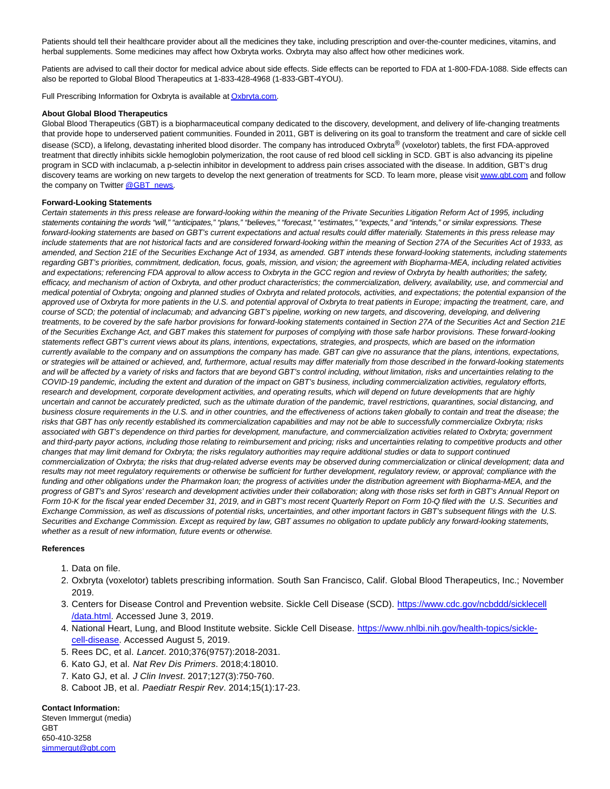Patients should tell their healthcare provider about all the medicines they take, including prescription and over-the-counter medicines, vitamins, and herbal supplements. Some medicines may affect how Oxbryta works. Oxbryta may also affect how other medicines work.

Patients are advised to call their doctor for medical advice about side effects. Side effects can be reported to FDA at 1-800-FDA-1088. Side effects can also be reported to Global Blood Therapeutics at 1-833-428-4968 (1-833-GBT-4YOU).

Full Prescribing Information for Oxbryta is available a[t Oxbryta.com.](https://www.globenewswire.com/Tracker?data=riy7z6XNKqeyd8EwYL8ANORyUhWHrTCkJOm53heAc7CetEk1mYAvr1bmNG7kRZ9nSpegvBr1Uso2x9pmOMl9bg==)

## **About Global Blood Therapeutics**

Global Blood Therapeutics (GBT) is a biopharmaceutical company dedicated to the discovery, development, and delivery of life-changing treatments that provide hope to underserved patient communities. Founded in 2011, GBT is delivering on its goal to transform the treatment and care of sickle cell disease (SCD), a lifelong, devastating inherited blood disorder. The company has introduced Oxbryta® (voxelotor) tablets, the first FDA-approved treatment that directly inhibits sickle hemoglobin polymerization, the root cause of red blood cell sickling in SCD. GBT is also advancing its pipeline program in SCD with inclacumab, a p-selectin inhibitor in development to address pain crises associated with the disease. In addition, GBT's drug discovery teams are working on new targets to develop the next generation of treatments for SCD. To learn more, please visi[t www.gbt.com a](https://www.globenewswire.com/Tracker?data=7_1g6k0oi4irFENeQ4dlzIZrX3V-JeoZhmjTx2e-dGOr1rM_z3LqZ889VLTxXLWUkBi0_JY1mvpUCXnWLGY2Biumn7ZYU0R7jgWW1CoyTizTrWe4PbZIh_cTFjI23EjEtpVeNazvNYYMgOqcykwf_22P8fXA3541vsvb9VQP41kIXmDJ73bN_BXx2PytIRPo0E5gL9OsFWespmDIMDb2mMjvW5K2mDGtcCtY-5PHUgU=)nd follow the company on Twitte[r @GBT\\_news.](https://www.globenewswire.com/Tracker?data=ObQf9nzEPnrpEulCBSJe4BDbqVumoWsq3_XUd-Nnq7DvlqrTSS239mRcaZW97q31TFhmQaCRLxGokLpZJXnJSVxt6pV0cpXSbZkFymcZMfXOcpJFy1j2dYdg9AGW-m3tJaMu9msfpDXl5G_FNsXzVjTvoNh2ItemliWsQZKqGDtFvPaBKqD43w8sqMq-sRawc0SHFgp57lj_XNUjyq-gFB3E-aM7hFFE5vHfJauZW9w=)

### **Forward-Looking Statements**

Certain statements in this press release are forward-looking within the meaning of the Private Securities Litigation Reform Act of 1995, including statements containing the words "will," "anticipates," "plans," "believes," "forecast," "estimates," "expects," and "intends," or similar expressions. These forward-looking statements are based on GBT's current expectations and actual results could differ materially. Statements in this press release may include statements that are not historical facts and are considered forward-looking within the meaning of Section 27A of the Securities Act of 1933, as amended, and Section 21E of the Securities Exchange Act of 1934, as amended. GBT intends these forward-looking statements, including statements regarding GBT's priorities, commitment, dedication, focus, goals, mission, and vision; the agreement with Biopharma-MEA, including related activities and expectations; referencing FDA approval to allow access to Oxbryta in the GCC region and review of Oxbryta by health authorities; the safety, efficacy, and mechanism of action of Oxbryta, and other product characteristics; the commercialization, delivery, availability, use, and commercial and medical potential of Oxbryta; ongoing and planned studies of Oxbryta and related protocols, activities, and expectations; the potential expansion of the approved use of Oxbryta for more patients in the U.S. and potential approval of Oxbryta to treat patients in Europe; impacting the treatment, care, and course of SCD; the potential of inclacumab; and advancing GBT's pipeline, working on new targets, and discovering, developing, and delivering treatments, to be covered by the safe harbor provisions for forward-looking statements contained in Section 27A of the Securities Act and Section 21E of the Securities Exchange Act, and GBT makes this statement for purposes of complying with those safe harbor provisions. These forward-looking statements reflect GBT's current views about its plans, intentions, expectations, strategies, and prospects, which are based on the information currently available to the company and on assumptions the company has made. GBT can give no assurance that the plans, intentions, expectations, or strategies will be attained or achieved, and, furthermore, actual results may differ materially from those described in the forward-looking statements and will be affected by a variety of risks and factors that are beyond GBT's control including, without limitation, risks and uncertainties relating to the COVID-19 pandemic, including the extent and duration of the impact on GBT's business, including commercialization activities, regulatory efforts, research and development, corporate development activities, and operating results, which will depend on future developments that are highly uncertain and cannot be accurately predicted, such as the ultimate duration of the pandemic, travel restrictions, quarantines, social distancing, and business closure requirements in the U.S. and in other countries, and the effectiveness of actions taken globally to contain and treat the disease; the risks that GBT has only recently established its commercialization capabilities and may not be able to successfully commercialize Oxbryta; risks associated with GBT's dependence on third parties for development, manufacture, and commercialization activities related to Oxbryta; government and third-party payor actions, including those relating to reimbursement and pricing; risks and uncertainties relating to competitive products and other changes that may limit demand for Oxbryta; the risks regulatory authorities may require additional studies or data to support continued commercialization of Oxbryta; the risks that drug-related adverse events may be observed during commercialization or clinical development; data and results may not meet regulatory requirements or otherwise be sufficient for further development, regulatory review, or approval; compliance with the funding and other obligations under the Pharmakon loan; the progress of activities under the distribution agreement with Biopharma-MEA, and the progress of GBT's and Syros' research and development activities under their collaboration; along with those risks set forth in GBT's Annual Report on Form 10-K for the fiscal year ended December 31, 2019, and in GBT's most recent Quarterly Report on Form 10-Q filed with the U.S. Securities and Exchange Commission, as well as discussions of potential risks, uncertainties, and other important factors in GBT's subsequent filings with the U.S. Securities and Exchange Commission. Except as required by law, GBT assumes no obligation to update publicly any forward-looking statements, whether as a result of new information, future events or otherwise.

#### **References**

- 1. Data on file.
- 2. Oxbryta (voxelotor) tablets prescribing information. South San Francisco, Calif. Global Blood Therapeutics, Inc.; November 2019.
- 3. Centers for Disease Control and Prevention website. Sickle Cell Disease (SCD). [https://www.cdc.gov/ncbddd/sicklecell](https://www.cdc.gov/ncbddd/sicklecell/data.html) /data.html. Accessed June 3, 2019.
- 4. National Heart, Lung, and Blood Institute website. Sickle Cell Disease. [https://www.nhlbi.nih.gov/health-topics/sickle](https://www.nhlbi.nih.gov/health-topics/sickle-cell-disease)cell-disease. Accessed August 5, 2019.
- 5. Rees DC, et al. Lancet. 2010;376(9757):2018-2031.
- 6. Kato GJ, et al. Nat Rev Dis Primers. 2018;4:18010.
- 7. Kato GJ, et al. J Clin Invest. 2017;127(3):750-760.
- 8. Caboot JB, et al. Paediatr Respir Rev. 2014;15(1):17-23.

**Contact Information:** Steven Immergut (media) GBT 650-410-3258 [simmergut@gbt.com](https://www.globenewswire.com/Tracker?data=NklrYX-rN3oySazTXHe_fMZiXkbV91RQe7KRHrieRDSmG_q3fCimEWHH2XFKwBIyGrr7j4YrYR8kBgskXXvFpw==)